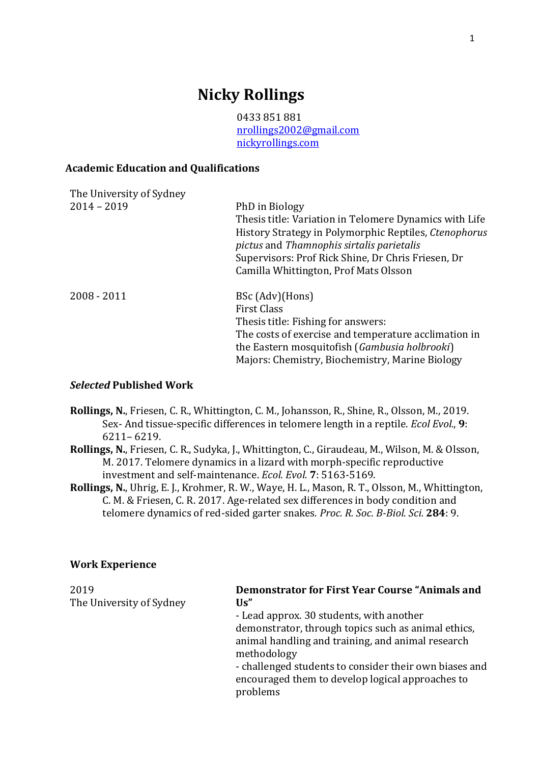## **Nicky Rollings**

0433 851 881 [nrollings2002@gmail.com](mailto:nrollings2002@gmail.com) [nickyrollings.com](http://www.nickyrollings.com/)

## **Academic Education and Qualifications**

| The University of Sydney |                                                                                                                                                                                                                                                                               |
|--------------------------|-------------------------------------------------------------------------------------------------------------------------------------------------------------------------------------------------------------------------------------------------------------------------------|
| $2014 - 2019$            | PhD in Biology<br>Thesis title: Variation in Telomere Dynamics with Life<br>History Strategy in Polymorphic Reptiles, Ctenophorus<br>pictus and Thamnophis sirtalis parietalis<br>Supervisors: Prof Rick Shine, Dr Chris Friesen, Dr<br>Camilla Whittington, Prof Mats Olsson |
| $2008 - 2011$            | BSc (Adv)(Hons)<br><b>First Class</b><br>Thesis title: Fishing for answers:<br>The costs of exercise and temperature acclimation in<br>the Eastern mosquitofish (Gambusia holbrooki)<br>Majors: Chemistry, Biochemistry, Marine Biology                                       |

## *Selected* **Published Work**

- **Rollings, N.**, Friesen, C. R., Whittington, C. M., Johansson, R., Shine, R., Olsson, M., 2019. Sex‐ And tissue‐specific differences in telomere length in a reptile. *Ecol Evol.*, **9**: 6211– 6219.
- **Rollings, N.**, Friesen, C. R., Sudyka, J., Whittington, C., Giraudeau, M., Wilson, M. & Olsson, M. 2017. Telomere dynamics in a lizard with morph-specific reproductive investment and self-maintenance. *Ecol. Evol.* **7**: 5163-5169.
- **Rollings, N.**, Uhrig, E. J., Krohmer, R. W., Waye, H. L., Mason, R. T., Olsson, M., Whittington, C. M. & Friesen, C. R. 2017. Age-related sex differences in body condition and telomere dynamics of red-sided garter snakes. *Proc. R. Soc. B-Biol. Sci.* **284**: 9.

## **Work Experience**

| 2019                     | <b>Demonstrator for First Year Course "Animals and</b><br>Us'' |
|--------------------------|----------------------------------------------------------------|
| The University of Sydney |                                                                |
|                          | - Lead approx. 30 students, with another                       |
|                          | demonstrator, through topics such as animal ethics,            |
|                          | animal handling and training, and animal research              |
|                          | methodology                                                    |
|                          | - challenged students to consider their own biases and         |
|                          | encouraged them to develop logical approaches to               |
|                          | problems                                                       |